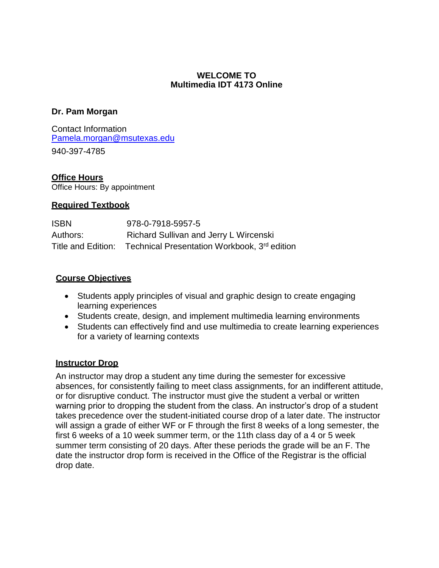#### **WELCOME TO Multimedia IDT 4173 Online**

### **Dr. Pam Morgan**

Contact Information [Pamela.morgan@msutexas.](mailto:Pamela.morgan@mwsu.edu)edu

940-397-4785

# **Office Hours**

Office Hours: By appointment

#### **Required Textbook**

| <b>ISBN</b> | 978-0-7918-5957-5                                                           |
|-------------|-----------------------------------------------------------------------------|
| Authors:    | Richard Sullivan and Jerry L Wircenski                                      |
|             | Title and Edition: Technical Presentation Workbook, 3 <sup>rd</sup> edition |

# **Course Objectives**

- Students apply principles of visual and graphic design to create engaging learning experiences
- Students create, design, and implement multimedia learning environments
- Students can effectively find and use multimedia to create learning experiences for a variety of learning contexts

#### **Instructor Drop**

An instructor may drop a student any time during the semester for excessive absences, for consistently failing to meet class assignments, for an indifferent attitude, or for disruptive conduct. The instructor must give the student a verbal or written warning prior to dropping the student from the class. An instructor's drop of a student takes precedence over the student-initiated course drop of a later date. The instructor will assign a grade of either WF or F through the first 8 weeks of a long semester, the first 6 weeks of a 10 week summer term, or the 11th class day of a 4 or 5 week summer term consisting of 20 days. After these periods the grade will be an F. The date the instructor drop form is received in the Office of the Registrar is the official drop date.